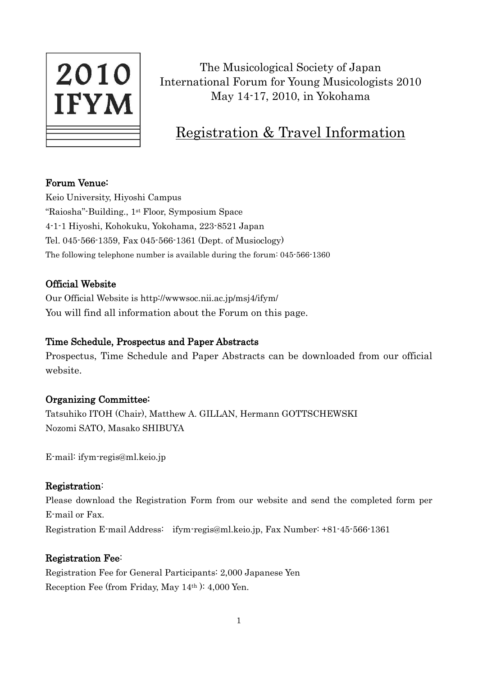

The Musicological Society of Japan International Forum for Young Musicologists 2010 May 14-17, 2010, in Yokohama

# Registration & Travel Information

# Forum Venue:

Keio University, Hiyoshi Campus "Raiosha"-Building., 1st Floor, Symposium Space 4-1-1 Hiyoshi, Kohokuku, Yokohama, 223-8521 Japan Tel. 045-566-1359, Fax 045-566-1361 (Dept. of Musioclogy) The following telephone number is available during the forum: 045-566-1360

# Official Website

Our Official Website is http://wwwsoc.nii.ac.jp/msj4/ifym/ You will find all information about the Forum on this page.

# Time Schedule, Prospectus and Paper Abstracts

Prospectus, Time Schedule and Paper Abstracts can be downloaded from our official website.

# Organizing Committee:

Tatsuhiko ITOH (Chair), Matthew A. GILLAN, Hermann GOTTSCHEWSKI Nozomi SATO, Masako SHIBUYA

E-mail: ifym-regis@ml.keio.jp

# Registration:

Please download the Registration Form from our website and send the completed form per E-mail or Fax. Registration E-mail Address: ifym-regis@ml.keio.jp, Fax Number: +81-45-566-1361

# Registration Fee:

Registration Fee for General Participants: 2,000 Japanese Yen Reception Fee (from Friday, May 14th ): 4,000 Yen.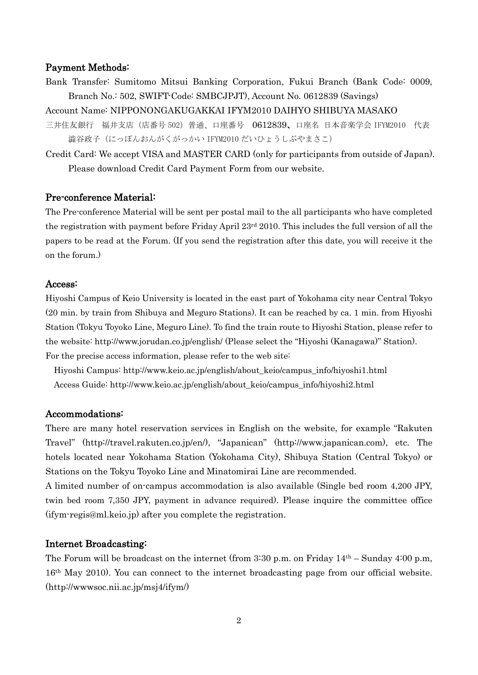### Payment Methods:

- Bank Transfer: Sumitomo Mitsui Banking Corporation, Fukui Branch (Bank Code: 0009, Branch No.: 502, SWIFT-Code: SMBCJPJT), Account No. 0612839 (Savings)
- Account Name: NIPPONONGAKUGAKKAI IFYM2010 DAIHYO SHIBUYA MASAKO
- 三井住友銀行 福井支店(店番号 502)普通、口座番号 0612839、口座名 日本音楽学会 IFYM2010 代表 澁谷政子 (にっぽんおんがくがっかい IFYM2010 だいひょうしぶやまさこ)
- Credit Card: We accept VISA and MASTER CARD (only for participants from outside of Japan). Please download Credit Card Payment Form from our website.

#### Pre-conference Material:

The Pre-conference Material will be sent per postal mail to the all participants who have completed the registration with payment before Friday April 23rd 2010. This includes the full version of all the papers to be read at the Forum. (If you send the registration after this date, you will receive it the on the forum.)

#### Access:

Hiyoshi Campus of Keio University is located in the east part of Yokohama city near Central Tokyo (20 min. by train from Shibuya and Meguro Stations). It can be reached by ca. 1 min. from Hiyoshi Station (Tokyu Toyoko Line, Meguro Line). To find the train route to Hiyoshi Station, please refer to the website: http://www.jorudan.co.jp/english/ (Please select the "Hiyoshi (Kanagawa)" Station). For the precise access information, please refer to the web site:

 Hiyoshi Campus: http://www.keio.ac.jp/english/about\_keio/campus\_info/hiyoshi1.html Access Guide: http://www.keio.ac.jp/english/about\_keio/campus\_info/hiyoshi2.html

#### Accommodations:

There are many hotel reservation services in English on the website, for example "Rakuten Travel" (http://travel.rakuten.co.jp/en/), "Japanican" (http://www.japanican.com), etc. The hotels located near Yokohama Station (Yokohama City), Shibuya Station (Central Tokyo) or Stations on the Tokyu Toyoko Line and Minatomirai Line are recommended.

A limited number of on-campus accommodation is also available (Single bed room 4,200 JPY, twin bed room 7,350 JPY, payment in advance required). Please inquire the committee office (ifym-regis@ml.keio.jp) after you complete the registration.

#### Internet Broadcasting:

The Forum will be broadcast on the internet (from  $3:30$  p.m. on Friday  $14<sup>th</sup>$  – Sunday  $4:00$  p.m, 16th May 2010). You can connect to the internet broadcasting page from our official website. (http://wwwsoc.nii.ac.jp/msj4/ifym/)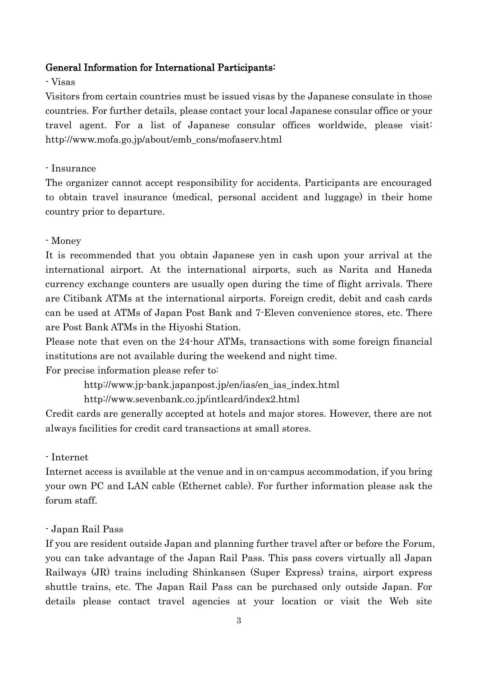## General Information for International Participants:

# - Visas

Visitors from certain countries must be issued visas by the Japanese consulate in those countries. For further details, please contact your local Japanese consular office or your travel agent. For a list of Japanese consular offices worldwide, please visit: http://www.mofa.go.jp/about/emb\_cons/mofaserv.html

### - Insurance

The organizer cannot accept responsibility for accidents. Participants are encouraged to obtain travel insurance (medical, personal accident and luggage) in their home country prior to departure.

### - Money

It is recommended that you obtain Japanese yen in cash upon your arrival at the international airport. At the international airports, such as Narita and Haneda currency exchange counters are usually open during the time of flight arrivals. There are Citibank ATMs at the international airports. Foreign credit, debit and cash cards can be used at ATMs of Japan Post Bank and 7-Eleven convenience stores, etc. There are Post Bank ATMs in the Hiyoshi Station.

Please note that even on the 24-hour ATMs, transactions with some foreign financial institutions are not available during the weekend and night time.

For precise information please refer to:

http://www.jp-bank.japanpost.jp/en/ias/en\_ias\_index.html

http://www.sevenbank.co.jp/intlcard/index2.html

Credit cards are generally accepted at hotels and major stores. However, there are not always facilities for credit card transactions at small stores.

#### - Internet

Internet access is available at the venue and in on-campus accommodation, if you bring your own PC and LAN cable (Ethernet cable). For further information please ask the forum staff.

### - Japan Rail Pass

If you are resident outside Japan and planning further travel after or before the Forum, you can take advantage of the Japan Rail Pass. This pass covers virtually all Japan Railways (JR) trains including Shinkansen (Super Express) trains, airport express shuttle trains, etc. The Japan Rail Pass can be purchased only outside Japan. For details please contact travel agencies at your location or visit the Web site